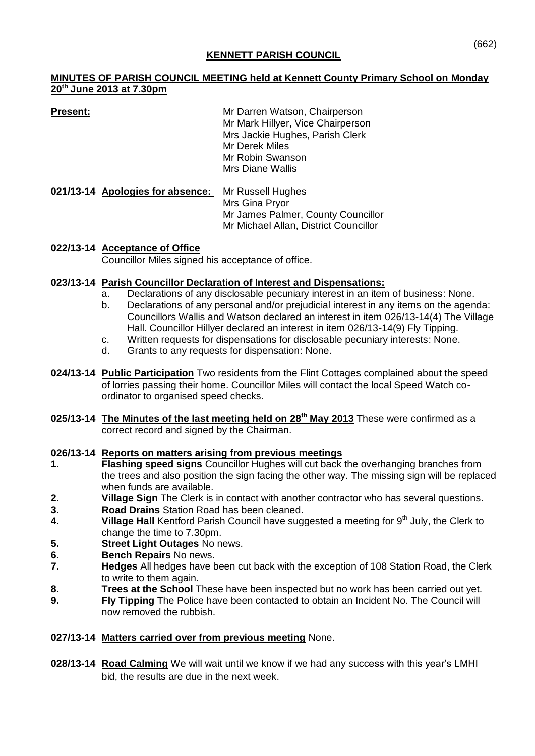#### **KENNETT PARISH COUNCIL**

#### **MINUTES OF PARISH COUNCIL MEETING held at Kennett County Primary School on Monday 20 th June 2013 at 7.30pm**

**Present:** Mr Darren Watson, Chairperson Mr Mark Hillyer, Vice Chairperson Mrs Jackie Hughes, Parish Clerk Mr Derek Miles Mr Robin Swanson Mrs Diane Wallis

**021/13-14 Apologies for absence:** Mr Russell Hughes Mrs Gina Pryor Mr James Palmer, County Councillor Mr Michael Allan, District Councillor

# **022/13-14 Acceptance of Office**

Councillor Miles signed his acceptance of office.

## **023/13-14 Parish Councillor Declaration of Interest and Dispensations:**

- a. Declarations of any disclosable pecuniary interest in an item of business: None.
- b. Declarations of any personal and/or prejudicial interest in any items on the agenda: Councillors Wallis and Watson declared an interest in item 026/13-14(4) The Village Hall. Councillor Hillyer declared an interest in item 026/13-14(9) Fly Tipping.
- c. Written requests for dispensations for disclosable pecuniary interests: None.
- d. Grants to any requests for dispensation: None.
- **024/13-14 Public Participation** Two residents from the Flint Cottages complained about the speed of lorries passing their home. Councillor Miles will contact the local Speed Watch coordinator to organised speed checks.
- **025/13-14 The Minutes of the last meeting held on 28th May 2013** These were confirmed as a correct record and signed by the Chairman.

# **026/13-14 Reports on matters arising from previous meetings**

- **1. Flashing speed signs** Councillor Hughes will cut back the overhanging branches from the trees and also position the sign facing the other way. The missing sign will be replaced when funds are available.
- **2. Village Sign** The Clerk is in contact with another contractor who has several questions.
- **3. Road Drains** Station Road has been cleaned.
- **4. Village Hall** Kentford Parish Council have suggested a meeting for 9<sup>th</sup> July, the Clerk to change the time to 7.30pm.
- **5. Street Light Outages** No news.
- **6. Bench Repairs** No news.
- **7. Hedges** All hedges have been cut back with the exception of 108 Station Road, the Clerk to write to them again.
- **8. Trees at the School** These have been inspected but no work has been carried out yet.
- **9. Fly Tipping** The Police have been contacted to obtain an Incident No. The Council will now removed the rubbish.

# **027/13-14 Matters carried over from previous meeting** None.

**028/13-14 Road Calming** We will wait until we know if we had any success with this year's LMHI bid, the results are due in the next week.